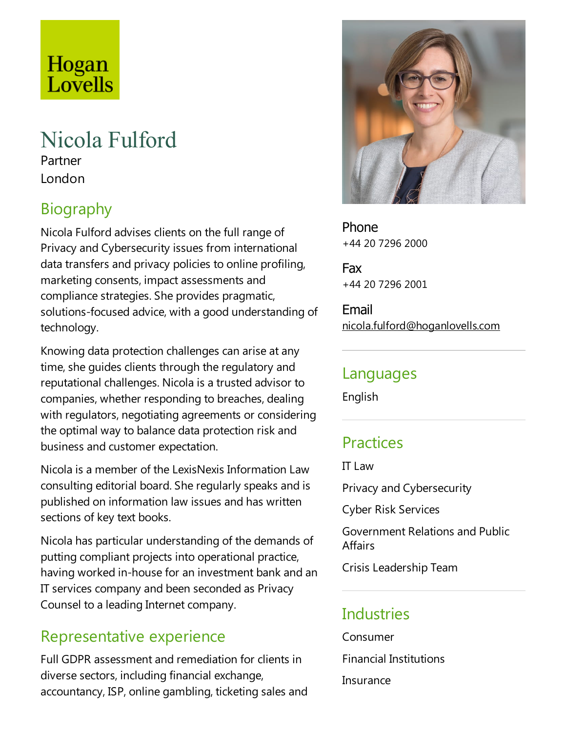# Hogan Lovells

# Nicola Fulford

Partner London

# **Biography**

Nicola Fulford advises clients on the full range of Privacy and Cybersecurity issues from international data transfers and privacy policies to online profiling, marketing consents, impact assessments and compliance strategies. She provides pragmatic, solutions-focused advice, with a good understanding of technology.

Knowing data protection challenges can arise at any time, she guides clients through the regulatory and reputational challenges. Nicola is a trusted advisor to companies, whether responding to breaches, dealing with regulators, negotiating agreements or considering the optimal way to balance data protection risk and business and customer expectation.

Nicola is a member of the LexisNexis Information Law consulting editorial board. Sheregularly speaks and is published on information law issues and has written sections of key text books.

Nicola has particular understanding of the demands of putting compliant projects into operational practice, having worked in-house for an investment bank and an IT services company and been seconded as Privacy Counsel to a leading Internet company.

#### Representative experience

Full GDPR assessment and remediation for clients in diverse sectors, including financial exchange, accountancy, ISP, online gambling, ticketing sales and



Phone +44 20 7296 2000

Fax +44 20 7296 2001

Email nicola.fulford@hoganlovells.com

#### Languages

English

## **Practices**

IT  $\mathsf{I}$  aw

Privacy and Cybersecurity

Cyber Risk Services

Government Relations and Public **Affairs** 

Crisis Leadership Team

### **Industries**

Consumer Financial Institutions Insurance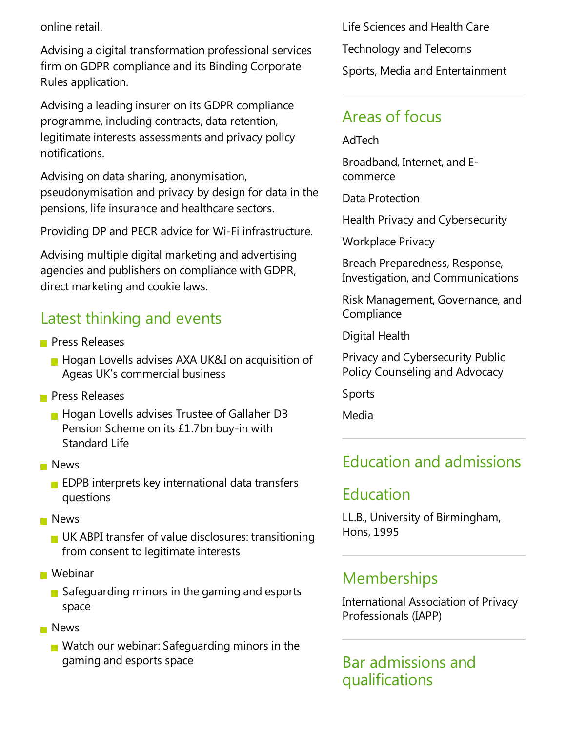online retail.

Advising a digital transformation professional services firm on GDPR compliance and its Binding Corporate Rules application.

Advising aleading insurer on its GDPR compliance programme, including contracts, data retention, legitimate interests assessments and privacy policy notifications.

Advising on data sharing, anonymisation, pseudonymisation and privacy by design for data in the pensions, life insurance and healthcare sectors.

Providing DP and PECR advice for Wi-Fi infrastructure.

Advising multiple digital marketing and advertising agencies and publishers on compliance with GDPR, direct marketing and cookie laws.

### Latest thinking and events

- **Press Releases** 
	- **Hogan Lovells advises AXA UK&I on acquisition of** Ageas UK's commercial business
- **Press Releases** 
	- **Hogan Lovells advises Trustee of Gallaher DB** Pension Scheme on its £1.7bn buy-in with Standard Life
- **News** 
	- $\blacksquare$  EDPB interprets key international data transfers questions
- **News** 
	- **UK ABPI transfer of value disclosures: transitioning** from consent to legitimate interests
- **Webinar** 
	- $\blacksquare$  Safeguarding minors in the gaming and esports space
- **News** 
	- $\blacksquare$  Watch our webinar: Safeguarding minors in the gaming and esports space

Life Sciences and Health Care Technology and Telecoms Sports, Media and Entertainment

### Areas of focus

AdTech

Broadband, Internet, and Ecommerce

Data Protection

Health Privacy and Cybersecurity

Workplace Privacy

Breach Preparedness, Response, Investigation, and Communications

Risk Management, Governance, and **Compliance** 

Digital Health

Privacy and Cybersecurity Public Policy Counseling and Advocacy

Sports

Media

### Education and admissions

### Education

LL.B., University of Birmingham, Hons, 1995

### **Memberships**

International Association of Privacy Professionals (IAPP)

#### Bar admissions and qualifications